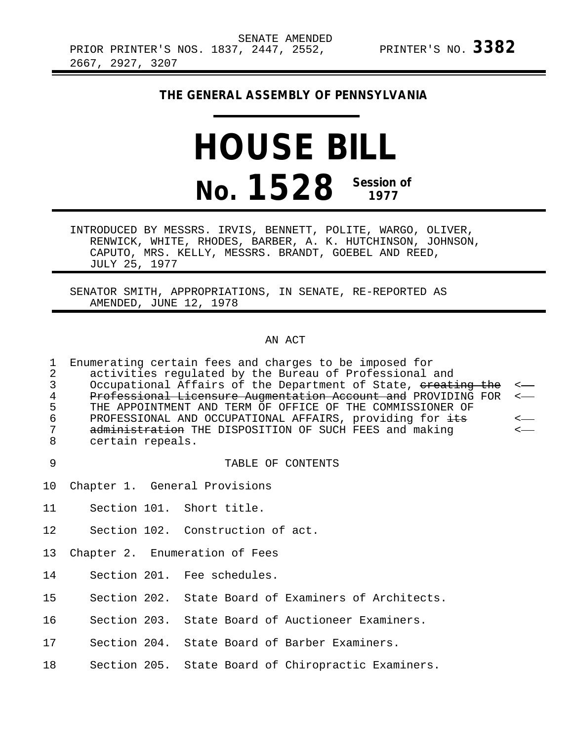## **THE GENERAL ASSEMBLY OF PENNSYLVANIA**

## **HOUSE BILL No. 1528 Session of 1977**

INTRODUCED BY MESSRS. IRVIS, BENNETT, POLITE, WARGO, OLIVER, RENWICK, WHITE, RHODES, BARBER, A. K. HUTCHINSON, JOHNSON, CAPUTO, MRS. KELLY, MESSRS. BRANDT, GOEBEL AND REED, JULY 25, 1977

SENATOR SMITH, APPROPRIATIONS, IN SENATE, RE-REPORTED AS AMENDED, JUNE 12, 1978

## AN ACT

1 Enumerating certain fees and charges to be imposed for<br>2 activities regulated by the Bureau of Professional 2 activities regulated by the Bureau of Professional and<br>3 Occupational Affairs of the Department of State, <del>creat</del> 3 Occupational Affairs of the Department of State, <del>creating the</del> <---<br>4 Professional Licensure Augmentation Account and PROVIDING FOR <--4 Professional Licensure Augmentation Account and PROVIDING FOR <---5 THE APPOINTMENT AND TERM OF OFFICE OF THE COMMISSIONER OF<br>6 PROFESSIONAL AND OCCUPATIONAL AFFAIRS, providing for <del>its</del> 6 PROFESSIONAL AND OCCUPATIONAL AFFAIRS, providing for its < 7 administration THE DISPOSITION OF SUCH FEES and making<br>8 certain repeals. certain repeals.

9 TABLE OF CONTENTS

- 10 Chapter 1. General Provisions
- 11 Section 101. Short title.

12 Section 102. Construction of act.

- 13 Chapter 2. Enumeration of Fees
- 14 Section 201. Fee schedules.
- 15 Section 202. State Board of Examiners of Architects.

16 Section 203. State Board of Auctioneer Examiners.

17 Section 204. State Board of Barber Examiners.

18 Section 205. State Board of Chiropractic Examiners.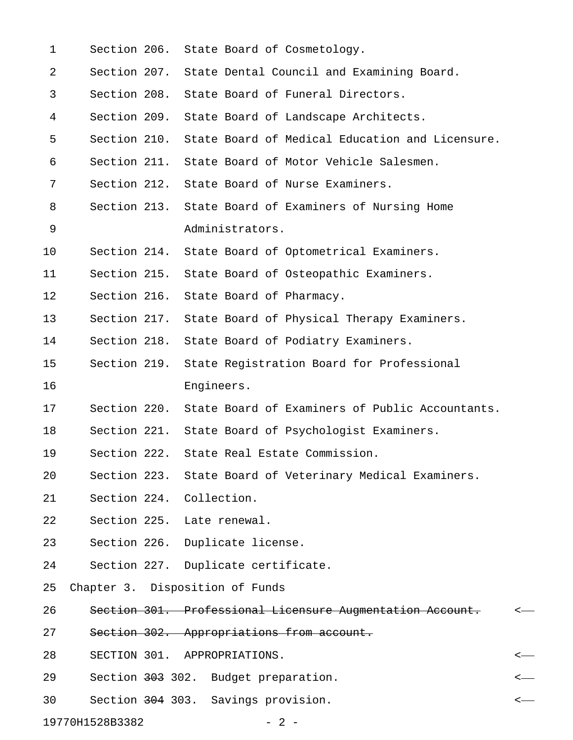| $\mathbf 1$ |              | Section 206. State Board of Cosmetology.           |                                                              |   |
|-------------|--------------|----------------------------------------------------|--------------------------------------------------------------|---|
| 2           |              |                                                    | Section 207. State Dental Council and Examining Board.       |   |
| 3           |              | Section 208. State Board of Funeral Directors.     |                                                              |   |
| 4           |              | Section 209. State Board of Landscape Architects.  |                                                              |   |
| 5           |              |                                                    | Section 210. State Board of Medical Education and Licensure. |   |
| 6           |              |                                                    | Section 211. State Board of Motor Vehicle Salesmen.          |   |
| 7           |              | Section 212. State Board of Nurse Examiners.       |                                                              |   |
| 8           |              |                                                    | Section 213. State Board of Examiners of Nursing Home        |   |
| 9           |              | Administrators.                                    |                                                              |   |
| 10          | Section 214. |                                                    | State Board of Optometrical Examiners.                       |   |
| 11          |              | Section 215. State Board of Osteopathic Examiners. |                                                              |   |
| 12          | Section 216. | State Board of Pharmacy.                           |                                                              |   |
| 13          |              |                                                    | Section 217. State Board of Physical Therapy Examiners.      |   |
| 14          |              | Section 218. State Board of Podiatry Examiners.    |                                                              |   |
| 15          | Section 219. |                                                    | State Registration Board for Professional                    |   |
| 16          |              | Engineers.                                         |                                                              |   |
| 17          |              |                                                    | Section 220. State Board of Examiners of Public Accountants. |   |
| 18          |              |                                                    | Section 221. State Board of Psychologist Examiners.          |   |
| 19          | Section 222. | State Real Estate Commission.                      |                                                              |   |
| 20          |              |                                                    | Section 223. State Board of Veterinary Medical Examiners.    |   |
| 21          |              | Section 224. Collection.                           |                                                              |   |
| 22          |              | Section 225. Late renewal.                         |                                                              |   |
| 23          |              | Section 226. Duplicate license.                    |                                                              |   |
| 24          |              | Section 227. Duplicate certificate.                |                                                              |   |
| 25          |              | Chapter 3. Disposition of Funds                    |                                                              |   |
| 26          |              |                                                    | Section 301. Professional Licensure Augmentation Account.    | ≺ |
| 27          |              | Section 302. Appropriations from account.          |                                                              |   |
| 28          |              | SECTION 301. APPROPRIATIONS.                       |                                                              | < |
| 29          |              | Section 303 302. Budget preparation.               |                                                              |   |
| 30          |              | Section 304 303. Savings provision.                |                                                              | < |
|             |              |                                                    |                                                              |   |

19770H1528B3382 - 2 -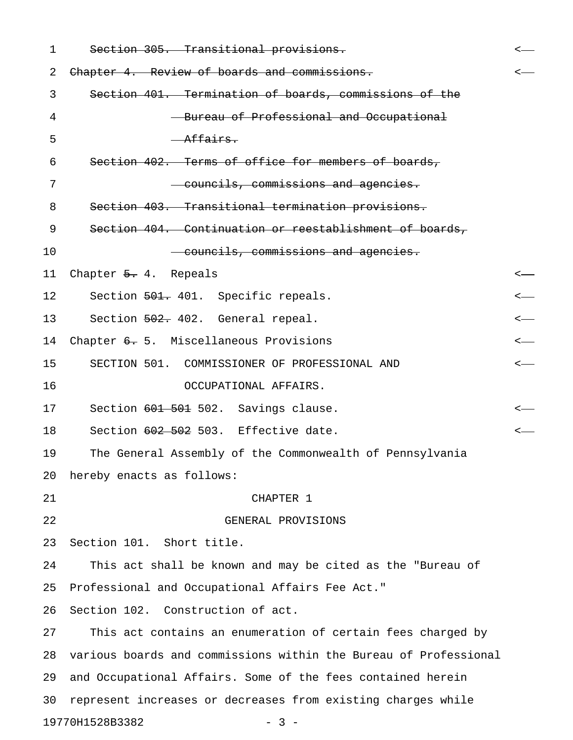| 1  | Section 305. Transitional provisions.                            | <—               |
|----|------------------------------------------------------------------|------------------|
| 2  | Chapter 4. Review of boards and commissions.                     |                  |
| 3  | Section 401. Termination of boards, commissions of the           |                  |
| 4  | - Bureau of Professional and Occupational                        |                  |
| 5  | Affairs.                                                         |                  |
| 6  | Section 402. Terms of office for members of boards,              |                  |
| 7  | councils, commissions and agencies.                              |                  |
| 8  | Section 403. Transitional termination provisions.                |                  |
| 9  | Section 404. Continuation or reestablishment of boards,          |                  |
| 10 | councils, commissions and agencies.                              |                  |
| 11 | Chapter $5.4.$ Repeals                                           | $\longleftarrow$ |
| 12 | Section 501. 401. Specific repeals.                              | <—               |
| 13 | Section 502. 402. General repeal.                                | $\longleftarrow$ |
| 14 | Chapter 6. 5. Miscellaneous Provisions                           | $\longleftarrow$ |
| 15 | SECTION 501. COMMISSIONER OF PROFESSIONAL AND                    | $\longleftarrow$ |
| 16 | OCCUPATIONAL AFFAIRS.                                            |                  |
| 17 | Section 601 501 502. Savings clause.                             |                  |
| 18 | Section 602 502 503. Effective date.                             |                  |
| 19 | The General Assembly of the Commonwealth of Pennsylvania         |                  |
| 20 | hereby enacts as follows:                                        |                  |
| 21 | CHAPTER 1                                                        |                  |
| 22 | GENERAL PROVISIONS                                               |                  |
| 23 | Section 101. Short title.                                        |                  |
| 24 | This act shall be known and may be cited as the "Bureau of       |                  |
| 25 | Professional and Occupational Affairs Fee Act."                  |                  |
| 26 | Section 102. Construction of act.                                |                  |
| 27 | This act contains an enumeration of certain fees charged by      |                  |
| 28 | various boards and commissions within the Bureau of Professional |                  |
| 29 | and Occupational Affairs. Some of the fees contained herein      |                  |
| 30 | represent increases or decreases from existing charges while     |                  |
|    | 19770H1528B3382<br>$-3-$                                         |                  |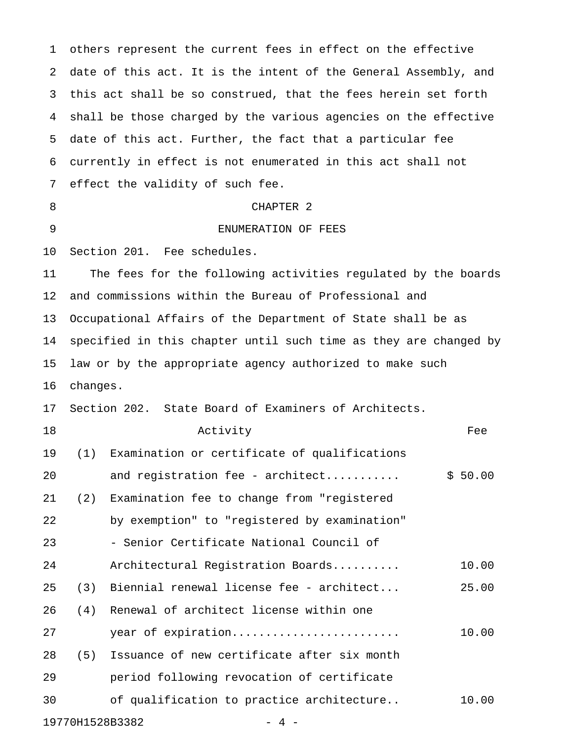1 others represent the current fees in effect on the effective 2 date of this act. It is the intent of the General Assembly, and 3 this act shall be so construed, that the fees herein set forth 4 shall be those charged by the various agencies on the effective 5 date of this act. Further, the fact that a particular fee 6 currently in effect is not enumerated in this act shall not 7 effect the validity of such fee. 8 CHAPTER 2 9 ENUMERATION OF FEES 10 Section 201. Fee schedules. 11 The fees for the following activities regulated by the boards 12 and commissions within the Bureau of Professional and 13 Occupational Affairs of the Department of State shall be as 14 specified in this chapter until such time as they are changed by 15 law or by the appropriate agency authorized to make such 16 changes. 17 Section 202. State Board of Examiners of Architects. 18 **Activity Activity** *Fee* 19 (1) Examination or certificate of qualifications 20 and registration fee - architect........... \$ 50.00 21 (2) Examination fee to change from "registered 22 by exemption" to "registered by examination" 23 - Senior Certificate National Council of 24 Architectural Registration Boards.......... 10.00 25 (3) Biennial renewal license fee - architect... 25.00 26 (4) Renewal of architect license within one 27 year of expiration......................... 10.00 28 (5) Issuance of new certificate after six month 29 period following revocation of certificate 30 of qualification to practice architecture.. 10.00

19770H1528B3382 - 4 -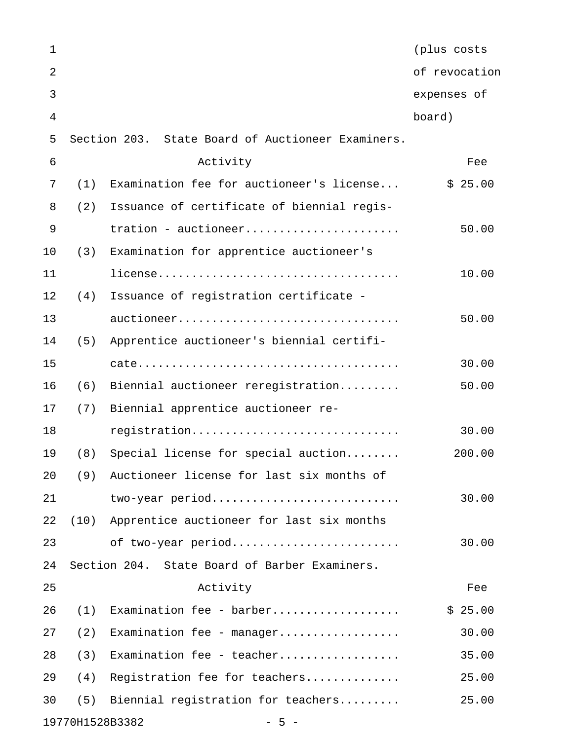| $\mathbf{1}$   |      |                                                   | (plus costs   |
|----------------|------|---------------------------------------------------|---------------|
| $\overline{2}$ |      |                                                   | of revocation |
| 3              |      |                                                   | expenses of   |
| 4              |      |                                                   | board)        |
| 5              |      | Section 203. State Board of Auctioneer Examiners. |               |
| 6              |      | Activity                                          | Fee           |
| 7              | (1)  | Examination fee for auctioneer's license          | \$25.00       |
| 8              | (2)  | Issuance of certificate of biennial regis-        |               |
| 9              |      | tration - auctioneer                              | 50.00         |
| 10             | (3)  | Examination for apprentice auctioneer's           |               |
| 11             |      |                                                   | 10.00         |
| 12             | (4)  | Issuance of registration certificate -            |               |
| 13             |      | auctioneer                                        | 50.00         |
| 14             | (5)  | Apprentice auctioneer's biennial certifi-         |               |
| 15             |      |                                                   | 30.00         |
| 16             | (6)  | Biennial auctioneer reregistration                | 50.00         |
| 17             | (7)  | Biennial apprentice auctioneer re-                |               |
| 18             |      | registration                                      | 30.00         |
| 19             | (8)  | Special license for special auction               | 200.00        |
| 20             | (9)  | Auctioneer license for last six months of         |               |
| 21             |      | two-year period                                   | 30.00         |
| 22             | (10) | Apprentice auctioneer for last six months         |               |
| 23             |      | of two-year period                                | 30.00         |
| 24             |      | Section 204. State Board of Barber Examiners.     |               |
| 25             |      | Activity                                          | Fee           |
| 26             | (1)  | Examination fee - barber                          | \$25.00       |
| 27             | (2)  | Examination fee - manager                         | 30.00         |
| 28             | (3)  | Examination fee - teacher                         | 35.00         |
| 29             | (4)  | Registration fee for teachers                     | 25.00         |
| 30             | (5)  | Biennial registration for teachers                | 25.00         |
|                |      | 19770H1528B3382<br>$-5 -$                         |               |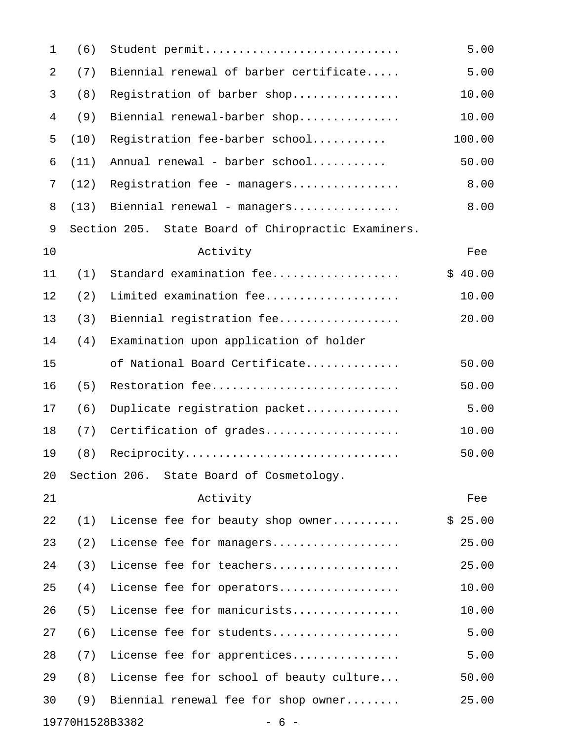| $\mathbf{1}$ | (6)  | Student permit                                      | 5.00    |
|--------------|------|-----------------------------------------------------|---------|
| 2            | (7)  | Biennial renewal of barber certificate              | 5.00    |
| 3            | (8)  | Registration of barber shop                         | 10.00   |
| 4            | (9)  | Biennial renewal-barber shop                        | 10.00   |
| 5            | (10) | Registration fee-barber school                      | 100.00  |
| 6            | (11) | Annual renewal - barber school                      | 50.00   |
| 7            | (12) | Registration fee - managers                         | 8.00    |
| 8            | (13) | Biennial renewal - managers                         | 8.00    |
| 9            |      | Section 205. State Board of Chiropractic Examiners. |         |
| 10           |      | Activity                                            | Fee     |
| 11           | (1)  | Standard examination fee                            | \$40.00 |
| 12           | (2)  | Limited examination fee                             | 10.00   |
| 13           | (3)  | Biennial registration fee                           | 20.00   |
| 14           | (4)  | Examination upon application of holder              |         |
| 15           |      | of National Board Certificate                       | 50.00   |
| 16           | (5)  | Restoration fee                                     | 50.00   |
| 17           | (6)  | Duplicate registration packet                       | 5.00    |
| 18           | (7)  | Certification of grades                             | 10.00   |
| 19           | (8)  | Reciprocity                                         | 50.00   |
| 20           |      | Section 206. State Board of Cosmetology.            |         |
| 21           |      | Activity                                            | Fee     |
| 22           | (1)  | License fee for beauty shop owner                   | \$25.00 |
| 23           | (2)  | License fee for managers                            | 25.00   |
| 24           | (3)  | License fee for teachers                            | 25.00   |
| 25           | (4)  | License fee for operators                           | 10.00   |
| 26           | (5)  | License fee for manicurists                         | 10.00   |
| 27           | (6)  | License fee for students                            | 5.00    |
| 28           | (7)  | License fee for apprentices                         | 5.00    |
| 29           | (8)  | License fee for school of beauty culture            | 50.00   |
| 30           | (9)  | Biennial renewal fee for shop owner                 | 25.00   |
|              |      | 19770H1528B3382<br>- 6 -                            |         |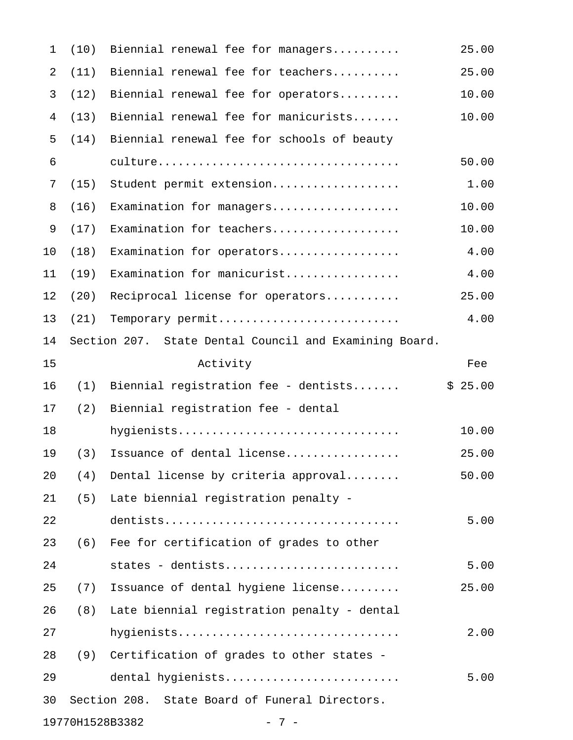| $\mathbf{1}$   | (10) | Biennial renewal fee for managers                      | 25.00   |
|----------------|------|--------------------------------------------------------|---------|
| $\overline{2}$ | (11) | Biennial renewal fee for teachers                      | 25.00   |
| 3              | (12) | Biennial renewal fee for operators                     | 10.00   |
| 4              | (13) | Biennial renewal fee for manicurists                   | 10.00   |
| 5              | (14) | Biennial renewal fee for schools of beauty             |         |
| 6              |      |                                                        | 50.00   |
| 7              | (15) | Student permit extension                               | 1.00    |
| $\,8\,$        | (16) | Examination for managers                               | 10.00   |
| 9              | (17) | Examination for teachers                               | 10.00   |
| 10             | (18) | Examination for operators                              | 4.00    |
| 11             | (19) | Examination for manicurist                             | 4.00    |
| 12             | (20) | Reciprocal license for operators                       | 25.00   |
| 13             | (21) | Temporary permit                                       | 4.00    |
| 14             |      | Section 207. State Dental Council and Examining Board. |         |
| 15             |      | Activity                                               | Fee     |
| 16             | (1)  | Biennial registration fee - dentists                   | \$25.00 |
| 17             | (2)  | Biennial registration fee - dental                     |         |
| 18             |      | hygienists                                             | 10.00   |
| 19             | (3)  | Issuance of dental license                             | 25.00   |
| 20             | (4)  | Dental license by criteria approval                    | 50.00   |
| 21             | (5)  | Late biennial registration penalty -                   |         |
| 22             |      |                                                        | 5.00    |
| 23             | (6)  | Fee for certification of grades to other               |         |
| 24             |      | states - dentists                                      | 5.00    |
| 25             | (7)  | Issuance of dental hygiene license                     | 25.00   |
| 26             | (8)  | Late biennial registration penalty - dental            |         |
| 27             |      | hygienists                                             | 2.00    |
| 28             | (9)  | Certification of grades to other states -              |         |
| 29             |      | dental hygienists                                      | 5.00    |
| 30             |      | Section 208. State Board of Funeral Directors.         |         |
|                |      | 19770H1528B3382<br>$-7-$                               |         |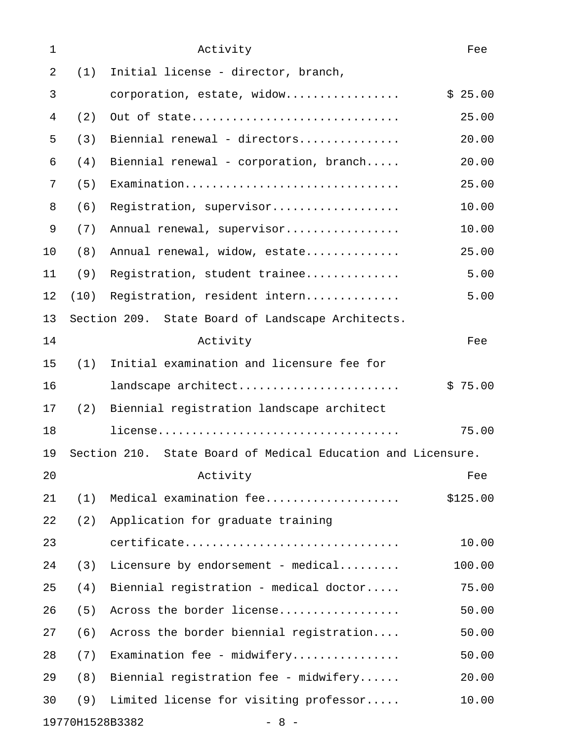| 1              |      | Activity                                                     | Fee      |
|----------------|------|--------------------------------------------------------------|----------|
| $\overline{2}$ | (1)  | Initial license - director, branch,                          |          |
| 3              |      | corporation, estate, widow                                   | \$25.00  |
| 4              | (2)  | Out of state                                                 | 25.00    |
| 5              | (3)  | Biennial renewal - directors                                 | 20.00    |
| 6              | (4)  | Biennial renewal - corporation, branch                       | 20.00    |
| 7              | (5)  | Examination                                                  | 25.00    |
| 8              | (6)  | Registration, supervisor                                     | 10.00    |
| 9              | (7)  | Annual renewal, supervisor                                   | 10.00    |
| 10             | (8)  | Annual renewal, widow, estate                                | 25.00    |
| 11             | (9)  | Registration, student trainee                                | 5.00     |
| 12             | (10) | Registration, resident intern                                | 5.00     |
| 13             |      | Section 209. State Board of Landscape Architects.            |          |
| 14             |      | Activity                                                     | Fee      |
| 15             | (1)  | Initial examination and licensure fee for                    |          |
| 16             |      | landscape architect                                          | \$75.00  |
| 17             | (2)  | Biennial registration landscape architect                    |          |
| 18             |      |                                                              | 75.00    |
| 19             |      | Section 210. State Board of Medical Education and Licensure. |          |
| 20             |      | Activity                                                     | Fee      |
| 21             | (1)  | Medical examination fee                                      | \$125.00 |
| 22             | (2)  | Application for graduate training                            |          |
| 23             |      | certificate                                                  | 10.00    |
| 24             | (3)  | Licensure by endorsement - medical                           | 100.00   |
| 25             | (4)  | Biennial registration - medical doctor                       | 75.00    |
| 26             | (5)  | Across the border license                                    | 50.00    |
| 27             | (6)  | Across the border biennial registration                      | 50.00    |
| 28             | (7)  | Examination fee - midwifery                                  | 50.00    |
| 29             | (8)  | Biennial registration fee - midwifery                        | 20.00    |
| 30             | (9)  | Limited license for visiting professor                       | 10.00    |
|                |      | 19770H1528B3382<br>$-8 -$                                    |          |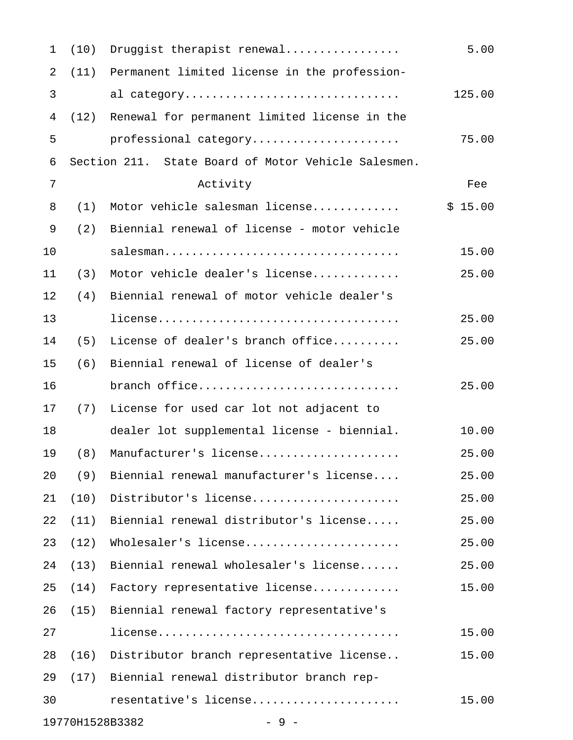| $\mathbf{1}$   | (10) | Druggist therapist renewal                          | 5.00    |
|----------------|------|-----------------------------------------------------|---------|
| $\overline{2}$ | (11) | Permanent limited license in the profession-        |         |
| 3              |      | al category                                         | 125.00  |
| $\overline{4}$ | (12) | Renewal for permanent limited license in the        |         |
| 5              |      | professional category                               | 75.00   |
| 6              |      | Section 211. State Board of Motor Vehicle Salesmen. |         |
| 7              |      | Activity                                            | Fee     |
| 8              | (1)  | Motor vehicle salesman license                      | \$15.00 |
| 9              | (2)  | Biennial renewal of license - motor vehicle         |         |
| 10             |      | salesman                                            | 15.00   |
| 11             | (3)  | Motor vehicle dealer's license                      | 25.00   |
| 12             | (4)  | Biennial renewal of motor vehicle dealer's          |         |
| 13             |      |                                                     | 25.00   |
| 14             | (5)  | License of dealer's branch office                   | 25.00   |
| 15             | (6)  | Biennial renewal of license of dealer's             |         |
| 16             |      | branch office                                       | 25.00   |
| 17             | (7)  | License for used car lot not adjacent to            |         |
| 18             |      | dealer lot supplemental license - biennial.         | 10.00   |
| 19             | (8)  | Manufacturer's license                              | 25.00   |
| 20             | (9)  | Biennial renewal manufacturer's license             | 25.00   |
| 21             | (10) | Distributor's license                               | 25.00   |
| 22             | (11) | Biennial renewal distributor's license              | 25.00   |
| 23             | (12) | Wholesaler's license                                | 25.00   |
| 24             | (13) | Biennial renewal wholesaler's license               | 25.00   |
| 25             | (14) | Factory representative license                      | 15.00   |
| 26             | (15) | Biennial renewal factory representative's           |         |
| 27             |      |                                                     | 15.00   |
| 28             | (16) | Distributor branch representative license           | 15.00   |
| 29             | (17) | Biennial renewal distributor branch rep-            |         |
| 30             |      | resentative's license                               | 15.00   |
|                |      | 19770H1528B3382<br>$-9-$                            |         |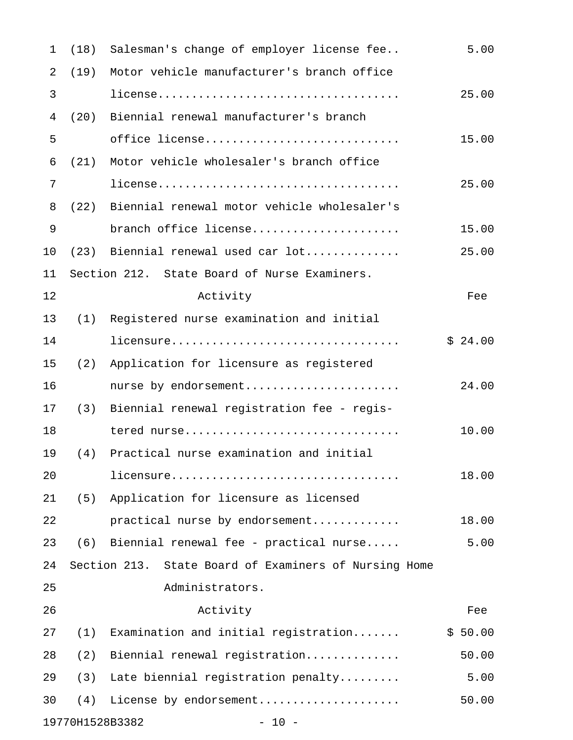| $\mathbf 1$ |                 | (18) Salesman's change of employer license fee        | 5.00    |
|-------------|-----------------|-------------------------------------------------------|---------|
| 2           | (19)            | Motor vehicle manufacturer's branch office            |         |
| 3           |                 |                                                       | 25.00   |
| 4           | (20)            | Biennial renewal manufacturer's branch                |         |
| 5           |                 | office license                                        | 15.00   |
| 6           | (21)            | Motor vehicle wholesaler's branch office              |         |
| 7           |                 |                                                       | 25.00   |
| 8           |                 | (22) Biennial renewal motor vehicle wholesaler's      |         |
| 9           |                 | branch office license                                 | 15.00   |
| 10          |                 | $(23)$ Biennial renewal used car $lot$                | 25.00   |
| 11          |                 | Section 212. State Board of Nurse Examiners.          |         |
| 12          |                 | Activity                                              | Fee     |
| 13          |                 | (1) Registered nurse examination and initial          |         |
| 14          |                 | licensure                                             | \$24.00 |
| 15          | (2)             | Application for licensure as registered               |         |
| 16          |                 | nurse by endorsement                                  | 24.00   |
| 17          |                 | (3) Biennial renewal registration fee - regis-        |         |
| 18          |                 | tered nurse                                           | 10.00   |
| 19          | (4)             | Practical nurse examination and initial               |         |
| 20          |                 | licensure                                             | 18.00   |
| 21          | (5)             | Application for licensure as licensed                 |         |
| 22          |                 | practical nurse by endorsement                        | 18.00   |
| 23          |                 | $(6)$ Biennial renewal fee - practical nurse          | 5.00    |
| 24          |                 | Section 213. State Board of Examiners of Nursing Home |         |
| 25          |                 | Administrators.                                       |         |
| 26          |                 | Activity                                              | Fee     |
| 27          | (1)             | Examination and initial registration                  | \$50.00 |
| 28          | (2)             | Biennial renewal registration                         | 50.00   |
| 29          | (3)             | Late biennial registration penalty                    | 5.00    |
| 30          | (4)             | License by endorsement                                | 50.00   |
|             | 19770H1528B3382 | $-10 -$                                               |         |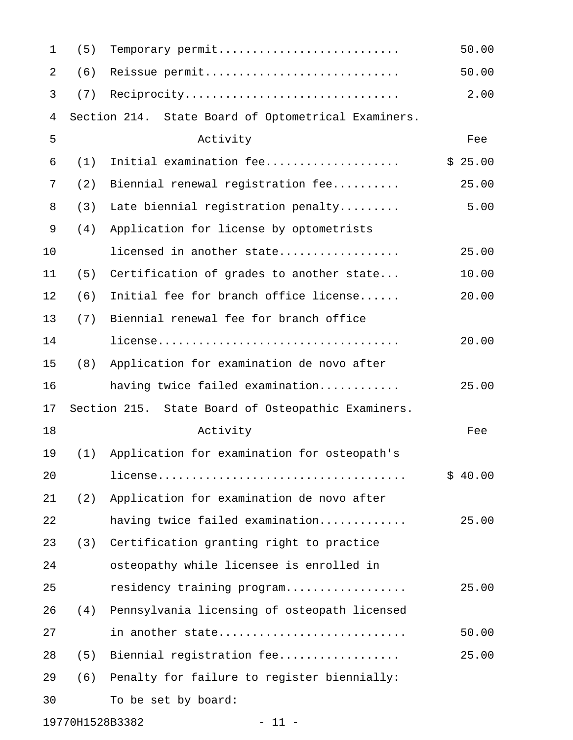| $\mathbf{1}$   | (5) | Temporary permit                                    | 50.00   |
|----------------|-----|-----------------------------------------------------|---------|
| 2              | (6) | Reissue permit                                      | 50.00   |
| 3              | (7) | Reciprocity                                         | 2.00    |
| $\overline{4}$ |     | Section 214. State Board of Optometrical Examiners. |         |
| 5              |     | Activity                                            | Fee     |
| 6              | (1) | Initial examination fee                             | \$25.00 |
| 7              | (2) | Biennial renewal registration fee                   | 25.00   |
| 8              | (3) | Late biennial registration penalty                  | 5.00    |
| 9              | (4) | Application for license by optometrists             |         |
| 10             |     | licensed in another state                           | 25.00   |
| 11             | (5) | Certification of grades to another state            | 10.00   |
| 12             | (6) | Initial fee for branch office license               | 20.00   |
| 13             | (7) | Biennial renewal fee for branch office              |         |
| 14             |     |                                                     | 20.00   |
| 15             | (8) | Application for examination de novo after           |         |
| 16             |     | having twice failed examination                     | 25.00   |
| 17             |     | Section 215. State Board of Osteopathic Examiners.  |         |
| 18             |     | Activity                                            | Fee     |
| 19             | (1) | Application for examination for osteopath's         |         |
| 20             |     |                                                     | \$40.00 |
| 21             | (2) | Application for examination de novo after           |         |
| 22             |     | having twice failed examination                     | 25.00   |
| 23             | (3) | Certification granting right to practice            |         |
| 24             |     | osteopathy while licensee is enrolled in            |         |
| 25             |     | residency training program                          | 25.00   |
| 26             | (4) | Pennsylvania licensing of osteopath licensed        |         |
| 27             |     | in another state                                    | 50.00   |
| 28             | (5) | Biennial registration fee                           | 25.00   |
| 29             | (6) | Penalty for failure to register biennially:         |         |
| 30             |     | To be set by board:                                 |         |
|                |     |                                                     |         |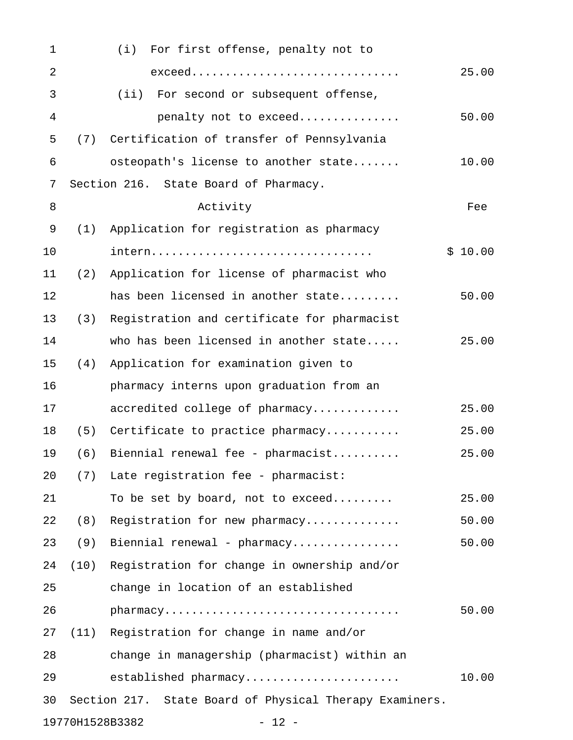| 1              |      | (i)<br>For first offense, penalty not to                |         |
|----------------|------|---------------------------------------------------------|---------|
| 2              |      | exceed                                                  | 25.00   |
| 3              |      | (iii)<br>For second or subsequent offense,              |         |
| $\overline{4}$ |      | penalty not to exceed                                   | 50.00   |
| 5              | (7)  | Certification of transfer of Pennsylvania               |         |
| 6              |      | osteopath's license to another state                    | 10.00   |
| 7              |      | Section 216. State Board of Pharmacy.                   |         |
| 8              |      | Activity                                                | Fee     |
| 9              | (1)  | Application for registration as pharmacy                |         |
| 10             |      | intern                                                  | \$10.00 |
| 11             | (2)  | Application for license of pharmacist who               |         |
| 12             |      | has been licensed in another state                      | 50.00   |
| 13             | (3)  | Registration and certificate for pharmacist             |         |
| 14             |      | who has been licensed in another state                  | 25.00   |
| 15             | (4)  | Application for examination given to                    |         |
| 16             |      | pharmacy interns upon graduation from an                |         |
| 17             |      | accredited college of pharmacy                          | 25.00   |
| 18             | (5)  | Certificate to practice pharmacy                        | 25.00   |
| 19             | (6)  | Biennial renewal fee - pharmacist                       | 25.00   |
| 20             | (7)  | Late registration fee - pharmacist:                     |         |
| 21             |      | To be set by board, not to exceed                       | 25.00   |
| 22             | (8)  | Registration for new pharmacy                           | 50.00   |
| 23             | (9)  | Biennial renewal - pharmacy                             | 50.00   |
| 24             | (10) | Registration for change in ownership and/or             |         |
| 25             |      | change in location of an established                    |         |
| 26             |      | pharmacy                                                | 50.00   |
| 27             |      | (11) Registration for change in name and/or             |         |
| 28             |      | change in managership (pharmacist) within an            |         |
| 29             |      | established pharmacy                                    | 10.00   |
| 30             |      | Section 217. State Board of Physical Therapy Examiners. |         |
|                |      | 19770H1528B3382<br>$-12 -$                              |         |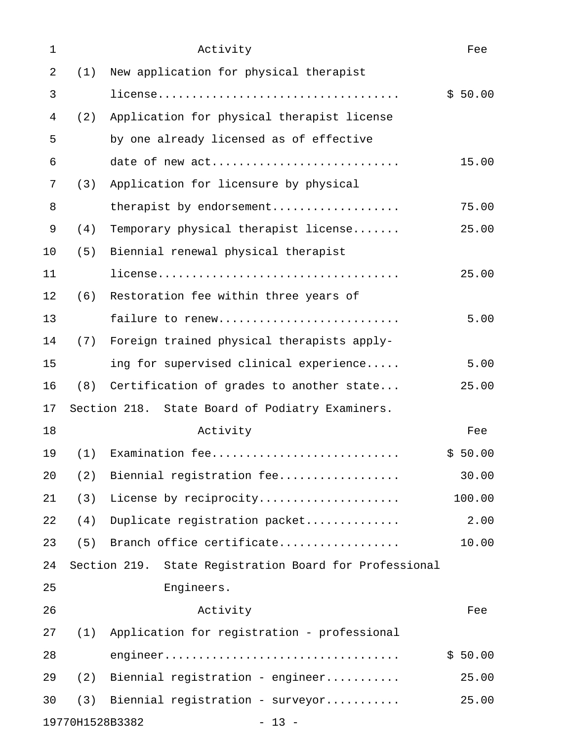| $\mathbf 1$ |                 | Activity                                               | Fee     |
|-------------|-----------------|--------------------------------------------------------|---------|
| 2           | (1)             | New application for physical therapist                 |         |
| 3           |                 |                                                        | \$50.00 |
| 4           | (2)             | Application for physical therapist license             |         |
| 5           |                 | by one already licensed as of effective                |         |
| 6           |                 | date of new act                                        | 15.00   |
| 7           | (3)             | Application for licensure by physical                  |         |
| 8           |                 | therapist by endorsement                               | 75.00   |
| 9           | (4)             | Temporary physical therapist license                   | 25.00   |
| 10          | (5)             | Biennial renewal physical therapist                    |         |
| 11          |                 |                                                        | 25.00   |
| 12          | (6)             | Restoration fee within three years of                  |         |
| 13          |                 | failure to renew                                       | 5.00    |
| 14          | (7)             | Foreign trained physical therapists apply-             |         |
| 15          |                 | ing for supervised clinical experience                 | 5.00    |
| 16          | (8)             | Certification of grades to another state               | 25.00   |
| 17          |                 | Section 218. State Board of Podiatry Examiners.        |         |
| 18          |                 | Activity                                               | Fee     |
| 19          | (1)             | Examination fee                                        | \$50.00 |
| 20          | (2)             | Biennial registration fee                              | 30.00   |
| 21          | (3)             | License by reciprocity                                 | 100.00  |
| 22          | (4)             | Duplicate registration packet                          | 2.00    |
| 23          | (5)             | Branch office certificate                              | 10.00   |
| 24          |                 | Section 219. State Registration Board for Professional |         |
| 25          |                 | Engineers.                                             |         |
| 26          |                 | Activity                                               | Fee     |
| 27          | (1)             | Application for registration - professional            |         |
| 28          |                 |                                                        | \$50.00 |
| 29          | (2)             | Biennial registration - engineer                       | 25.00   |
| 30          | (3)             | Biennial registration - surveyor                       | 25.00   |
|             | 19770H1528B3382 | $-13 -$                                                |         |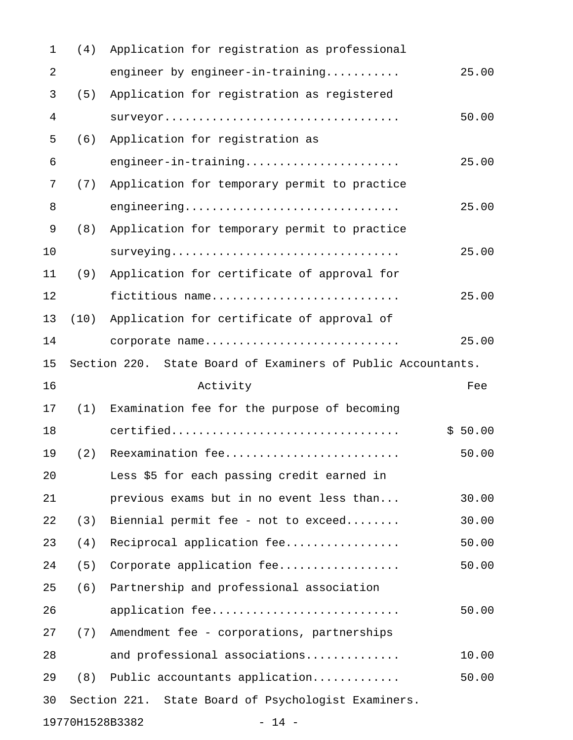| 1  | (4)             | Application for registration as professional                 |         |
|----|-----------------|--------------------------------------------------------------|---------|
| 2  |                 | engineer by engineer-in-training                             | 25.00   |
| 3  | (5)             | Application for registration as registered                   |         |
| 4  |                 | surveyor                                                     | 50.00   |
| 5  | (6)             | Application for registration as                              |         |
| 6  |                 | engineer-in-training                                         | 25.00   |
| 7  | (7)             | Application for temporary permit to practice                 |         |
| 8  |                 | engineering                                                  | 25.00   |
| 9  | (8)             | Application for temporary permit to practice                 |         |
| 10 |                 | surveying                                                    | 25.00   |
| 11 | (9)             | Application for certificate of approval for                  |         |
| 12 |                 | fictitious name                                              | 25.00   |
| 13 | (10)            | Application for certificate of approval of                   |         |
| 14 |                 | corporate name                                               | 25.00   |
| 15 |                 | Section 220. State Board of Examiners of Public Accountants. |         |
| 16 |                 | Activity                                                     | Fee     |
| 17 | (1)             | Examination fee for the purpose of becoming                  |         |
| 18 |                 | certified                                                    | \$50.00 |
| 19 | (2)             | Reexamination fee                                            | 50.00   |
| 20 |                 | Less \$5 for each passing credit earned in                   |         |
| 21 |                 | previous exams but in no event less than                     | 30.00   |
| 22 | (3)             | Biennial permit fee - not to exceed                          | 30.00   |
| 23 | (4)             | Reciprocal application fee                                   | 50.00   |
| 24 | (5)             | Corporate application fee                                    | 50.00   |
| 25 | (6)             | Partnership and professional association                     |         |
| 26 |                 | application fee                                              | 50.00   |
| 27 | (7)             | Amendment fee - corporations, partnerships                   |         |
| 28 |                 | and professional associations                                | 10.00   |
| 29 | (8)             | Public accountants application                               | 50.00   |
| 30 |                 | Section 221. State Board of Psychologist Examiners.          |         |
|    | 19770H1528B3382 | $-14 -$                                                      |         |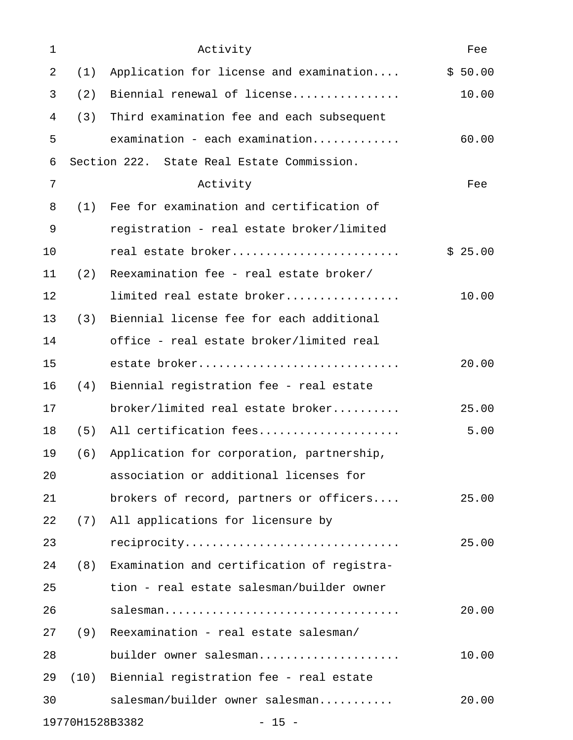| 1  |      | Activity                                   | Fee     |
|----|------|--------------------------------------------|---------|
| 2  | (1)  | Application for license and examination    | \$50.00 |
| 3  | (2)  | Biennial renewal of license                | 10.00   |
| 4  | (3)  | Third examination fee and each subsequent  |         |
| 5  |      | examination - each examination             | 60.00   |
| 6  |      | Section 222. State Real Estate Commission. |         |
| 7  |      | Activity                                   | Fee     |
| 8  | (1)  | Fee for examination and certification of   |         |
| 9  |      | registration - real estate broker/limited  |         |
| 10 |      | real estate broker                         | \$25.00 |
| 11 | (2)  | Reexamination fee - real estate broker/    |         |
| 12 |      | limited real estate broker                 | 10.00   |
| 13 | (3)  | Biennial license fee for each additional   |         |
| 14 |      | office - real estate broker/limited real   |         |
| 15 |      | estate broker                              | 20.00   |
| 16 | (4)  | Biennial registration fee - real estate    |         |
| 17 |      | broker/limited real estate broker          | 25.00   |
| 18 | (5)  | All certification fees                     | 5.00    |
| 19 | (6)  | Application for corporation, partnership,  |         |
| 20 |      | association or additional licenses for     |         |
| 21 |      | brokers of record, partners or officers    | 25.00   |
| 22 | (7)  | All applications for licensure by          |         |
| 23 |      | reciprocity                                | 25.00   |
| 24 | (8)  | Examination and certification of registra- |         |
| 25 |      | tion - real estate salesman/builder owner  |         |
| 26 |      | salesman                                   | 20.00   |
| 27 | (9)  | Reexamination - real estate salesman/      |         |
| 28 |      | builder owner salesman                     | 10.00   |
| 29 | (10) | Biennial registration fee - real estate    |         |
| 30 |      | salesman/builder owner salesman            | 20.00   |
|    |      | 19770H1528B3382<br>$-15 -$                 |         |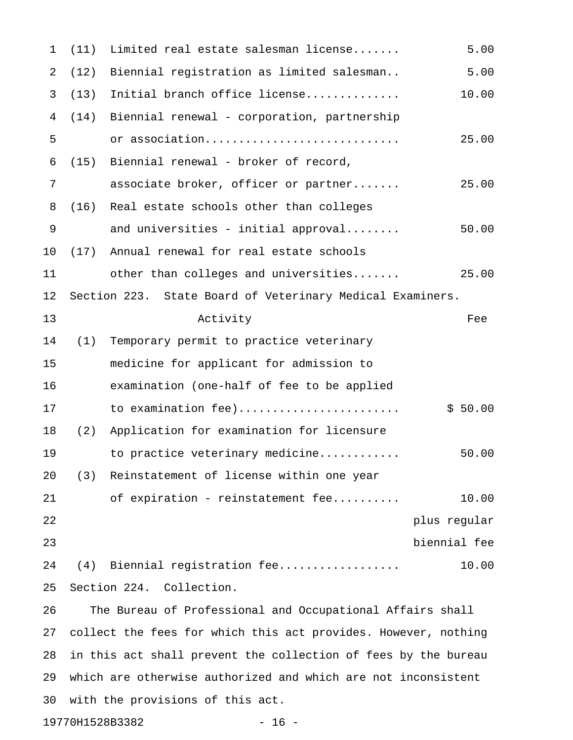| 1              | (11) | Limited real estate salesman license                           | 5.00         |
|----------------|------|----------------------------------------------------------------|--------------|
| $\overline{2}$ | (12) | Biennial registration as limited salesman                      | 5.00         |
| 3              | (13) | Initial branch office license                                  | 10.00        |
| 4              | (14) | Biennial renewal - corporation, partnership                    |              |
| 5              |      | or association                                                 | 25.00        |
| 6              | (15) | Biennial renewal - broker of record,                           |              |
| 7              |      | associate broker, officer or partner                           | 25.00        |
| 8              | (16) | Real estate schools other than colleges                        |              |
| 9              |      | and universities - initial approval                            | 50.00        |
| 10             | (17) | Annual renewal for real estate schools                         |              |
| 11             |      | other than colleges and universities                           | 25.00        |
| 12             |      | Section 223. State Board of Veterinary Medical Examiners.      |              |
| 13             |      | Activity                                                       | Fee          |
| 14             | (1)  | Temporary permit to practice veterinary                        |              |
| 15             |      | medicine for applicant for admission to                        |              |
| 16             |      | examination (one-half of fee to be applied                     |              |
| 17             |      | to examination fee)                                            | \$50.00      |
| 18             | (2)  | Application for examination for licensure                      |              |
| 19             |      | to practice veterinary medicine                                | 50.00        |
| 20             | (3)  | Reinstatement of license within one year                       |              |
| 21             |      | of expiration - reinstatement fee                              | 10.00        |
| 22             |      |                                                                | plus regular |
| 23             |      |                                                                | biennial fee |
| 24             |      | (4) Biennial registration fee                                  | 10.00        |
| 25             |      | Section 224. Collection.                                       |              |
| 26             |      | The Bureau of Professional and Occupational Affairs shall      |              |
| 27             |      | collect the fees for which this act provides. However, nothing |              |
| 28             |      | in this act shall prevent the collection of fees by the bureau |              |
| 29             |      | which are otherwise authorized and which are not inconsistent  |              |
| 30             |      | with the provisions of this act.                               |              |
|                |      | 19770H1528B3382<br>$-16 -$                                     |              |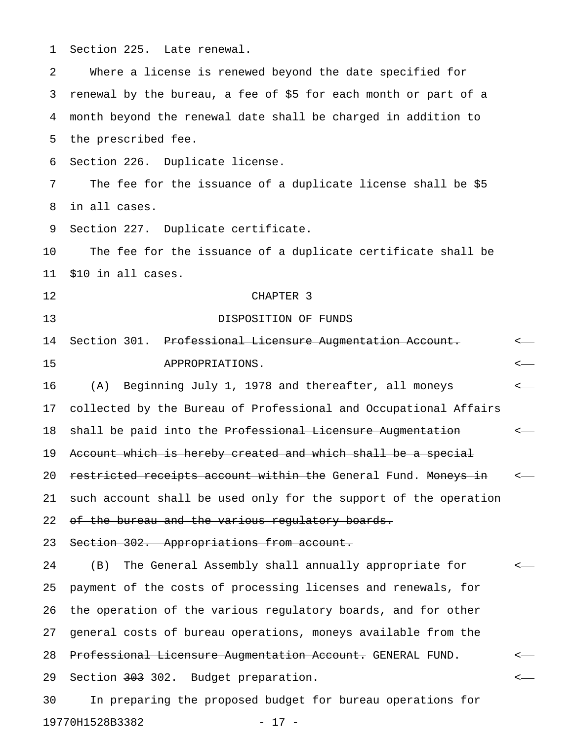1 Section 225. Late renewal. 2 Where a license is renewed beyond the date specified for 3 renewal by the bureau, a fee of \$5 for each month or part of a 4 month beyond the renewal date shall be charged in addition to 5 the prescribed fee. 6 Section 226. Duplicate license. 7 The fee for the issuance of a duplicate license shall be \$5 8 in all cases. 9 Section 227. Duplicate certificate. 10 The fee for the issuance of a duplicate certificate shall be 11 \$10 in all cases. 12 CHAPTER 3 13 DISPOSITION OF FUNDS 14 Section 301. Professional Licensure Augmentation Account. <-15 APPROPRIATIONS. < 16 (A) Beginning July 1, 1978 and thereafter, all moneys < 17 collected by the Bureau of Professional and Occupational Affairs 18 shall be paid into the Professional Licensure Augmentation  $\leftarrow$ 19 Account which is hereby created and which shall be a special 20 restricted receipts account within the General Fund. Moneys in  $\sim$ 21 such account shall be used only for the support of the operation 22 of the bureau and the various regulatory boards. 23 Section 302. Appropriations from account. 24 (B) The General Assembly shall annually appropriate for < 25 payment of the costs of processing licenses and renewals, for 26 the operation of the various regulatory boards, and for other 27 general costs of bureau operations, moneys available from the 28 Professional Licensure Augmentation Account. GENERAL FUND. <-29 Section <del>303</del> 302. Budget preparation.  $\leftarrow$ 30 In preparing the proposed budget for bureau operations for

19770H1528B3382 - 17 -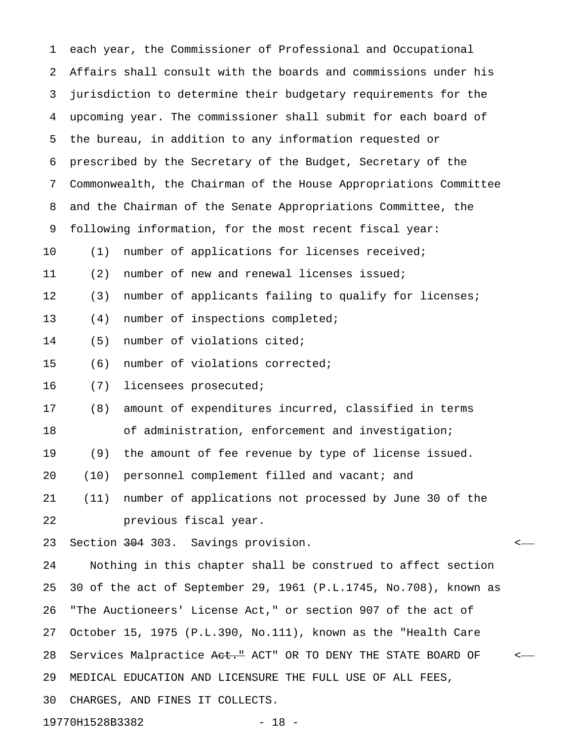| 1  |                 | each year, the Commissioner of Professional and Occupational     |         |
|----|-----------------|------------------------------------------------------------------|---------|
| 2  |                 | Affairs shall consult with the boards and commissions under his  |         |
| 3  |                 | jurisdiction to determine their budgetary requirements for the   |         |
| 4  |                 | upcoming year. The commissioner shall submit for each board of   |         |
| 5  |                 | the bureau, in addition to any information requested or          |         |
| 6  |                 | prescribed by the Secretary of the Budget, Secretary of the      |         |
| 7  |                 | Commonwealth, the Chairman of the House Appropriations Committee |         |
| 8  |                 | and the Chairman of the Senate Appropriations Committee, the     |         |
| 9  |                 | following information, for the most recent fiscal year:          |         |
| 10 | (1)             | number of applications for licenses received;                    |         |
| 11 | (2)             | number of new and renewal licenses issued;                       |         |
| 12 | (3)             | number of applicants failing to qualify for licenses;            |         |
| 13 | (4)             | number of inspections completed;                                 |         |
| 14 | (5)             | number of violations cited;                                      |         |
| 15 | (6)             | number of violations corrected;                                  |         |
| 16 | (7)             | licensees prosecuted;                                            |         |
| 17 | (8)             | amount of expenditures incurred, classified in terms             |         |
| 18 |                 | of administration, enforcement and investigation;                |         |
| 19 | (9)             | the amount of fee revenue by type of license issued.             |         |
| 20 |                 | (10) personnel complement filled and vacant; and                 |         |
| 21 | (11)            | number of applications not processed by June 30 of the           |         |
| 22 |                 | previous fiscal year.                                            |         |
| 23 |                 | Section 304 303. Savings provision.                              | $\,<\,$ |
| 24 |                 | Nothing in this chapter shall be construed to affect section     |         |
| 25 |                 | 30 of the act of September 29, 1961 (P.L.1745, No.708), known as |         |
| 26 |                 | "The Auctioneers' License Act," or section 907 of the act of     |         |
| 27 |                 | October 15, 1975 (P.L.390, No.111), known as the "Health Care    |         |
| 28 |                 | Services Malpractice Aet." ACT" OR TO DENY THE STATE BOARD OF    | $\,<\,$ |
| 29 |                 | MEDICAL EDUCATION AND LICENSURE THE FULL USE OF ALL FEES,        |         |
| 30 |                 | CHARGES, AND FINES IT COLLECTS.                                  |         |
|    | 19770H1528B3382 | $-18 -$                                                          |         |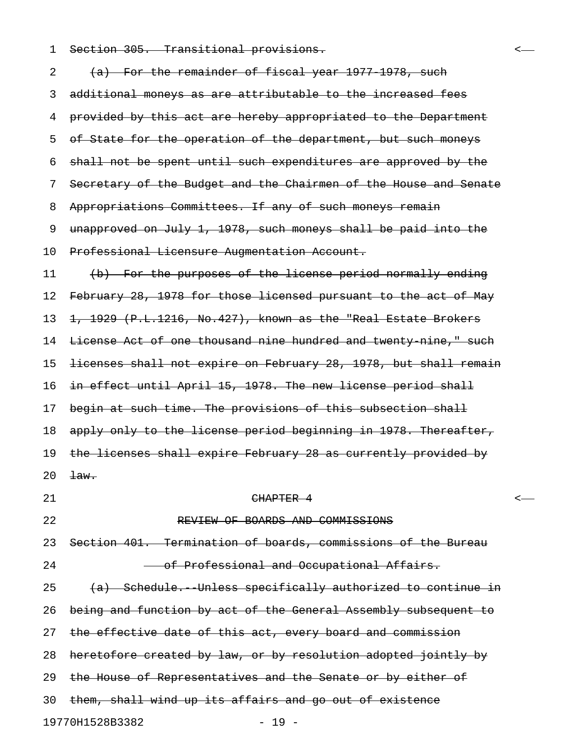1 Section 305. Transitional provisions. <

| 2  | (a) For the remainder of fiscal year 1977 1978, such             |  |
|----|------------------------------------------------------------------|--|
| 3  | additional moneys as are attributable to the increased fees      |  |
| 4  | provided by this act are hereby appropriated to the Department   |  |
| 5  | of State for the operation of the department, but such moneys    |  |
| 6  | shall not be spent until such expenditures are approved by the   |  |
| 7  | Secretary of the Budget and the Chairmen of the House and Senate |  |
| 8  | Appropriations Committees. If any of such moneys remain          |  |
| 9  | unapproved on July 1, 1978, such moneys shall be paid into the   |  |
| 10 | Professional Licensure Augmentation Account.                     |  |
| 11 | (b) For the purposes of the license period normally ending       |  |
| 12 | February 28, 1978 for those licensed pursuant to the act of May  |  |
| 13 | 1, 1929 (P.L.1216, No.427), known as the "Real Estate Brokers    |  |
| 14 | License Act of one thousand nine hundred and twenty nine," such  |  |
| 15 | licenses shall not expire on February 28, 1978, but shall remain |  |
| 16 | in effect until April 15, 1978. The new license period shall     |  |
| 17 | begin at such time. The provisions of this subsection shall      |  |
| 18 | apply only to the license period beginning in 1978. Thereafter,  |  |
| 19 | the licenses shall expire February 28 as currently provided by   |  |
| 20 | $\pm$ aw.                                                        |  |
| 21 | <del>CHAPTER 4</del>                                             |  |
| 22 | REVIEW OF BOARDS AND COMMISSIONS                                 |  |
| 23 | Section 401. Termination of boards, commissions of the Bureau    |  |
| 24 | of Professional and Occupational Affairs.                        |  |
| 25 | (a) Schedule. Unless specifically authorized to continue in      |  |
| 26 | being and function by act of the General Assembly subsequent to  |  |
| 27 | the effective date of this act, every board and commission       |  |
| 28 | heretofore created by law, or by resolution adopted jointly by   |  |
| 29 | the House of Representatives and the Senate or by either of      |  |
| 30 | them, shall wind up its affairs and go out of existence          |  |
|    | 19770H1528B3382<br>$19 -$                                        |  |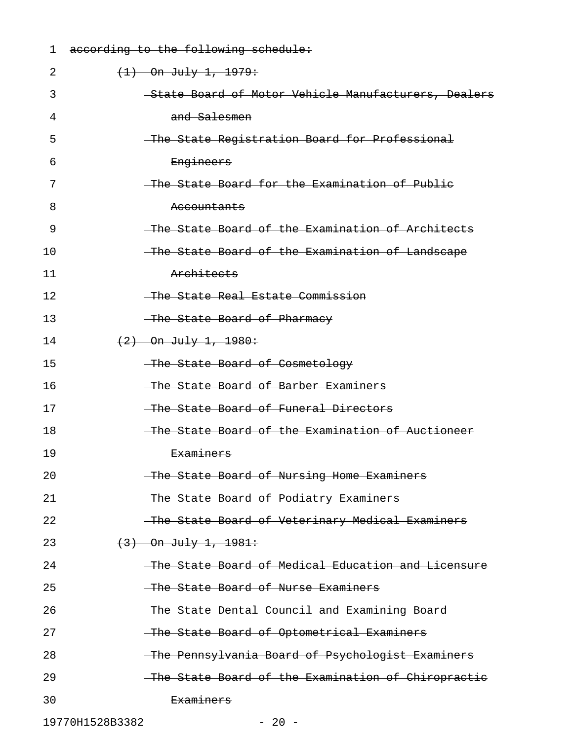| 1               | according to the following schedule:                |
|-----------------|-----------------------------------------------------|
| 2               | $(1)$ On July 1, 1979:                              |
| 3               | State Board of Motor Vehicle Manufacturers, Dealers |
| 4               | and Salesmen                                        |
| 5               | The State Registration Board for Professional       |
| 6               | Engineers                                           |
| 7               | The State Board for the Examination of Public       |
| 8               | <del>Accountants</del>                              |
| 9               | The State Board of the Examination of Architects    |
| 10              | -The State Board of the Examination of Landscape    |
| 11              | Architects                                          |
| 12              | The State Real Estate Commission                    |
| 13              | The State Board of Pharmacy                         |
| 14              | $(2)$ On July 1, 1980:                              |
| 15              | The State Board of Cosmetology                      |
| 16              | The State Board of Barber Examiners                 |
| 17              | The State Board of Funeral Directors                |
| 18              | The State Board of the Examination of Auctioneer    |
| 19              | <del>Examiners</del>                                |
| 20              | The State Board of Nursing Home Examiners           |
| 21              | -The State Board of Podiatry Examiners              |
| 22              | -The State Board of Veterinary Medical Examiners    |
| 23              | $(3)$ On July 1, 1981:                              |
| 24              | -The State Board of Medical Education and Licensure |
| 25              | -The State Board of Nurse Examiners                 |
| 26              | The State Dental Council and Examining Board        |
| 27              | -The State Board of Optometrical Examiners          |
| 28              | -The Pennsylvania Board of Psychologist Examiners   |
| 29              | The State Board of the Examination of Chiropractic  |
| 30              | <del>Examiners</del>                                |
| 19770H1528B3382 | $-20 -$                                             |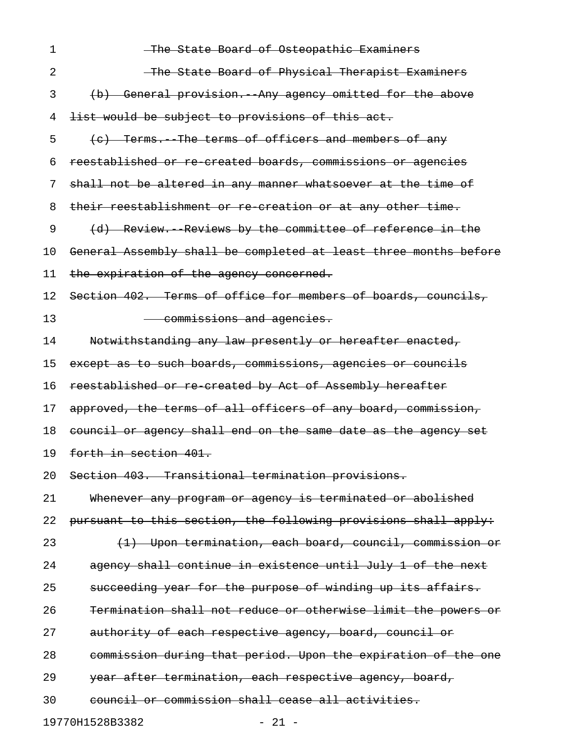| 1  | The State Board of Osteopathic Examiners                         |
|----|------------------------------------------------------------------|
| 2  | The State Board of Physical Therapist Examiners                  |
| 3  | (b) General provision. Any agency omitted for the above          |
| 4  | list would be subject to provisions of this act.                 |
| 5  | (e) Terms. The terms of officers and members of any              |
| 6  | reestablished or re created boards, commissions or agencies      |
| 7  | shall not be altered in any manner whatsoever at the time of     |
| 8  | their reestablishment or re creation or at any other time.       |
| 9  | (d) Review. Reviews by the committee of reference in the         |
| 10 | General Assembly shall be completed at least three months before |
| 11 | the expiration of the agency concerned.                          |
| 12 | Section 402. Terms of office for members of boards, councils,    |
| 13 | commissions and agencies.                                        |
| 14 | Notwithstanding any law presently or hereafter enacted,          |
| 15 | except as to such boards, commissions, agencies or councils      |
| 16 | reestablished or re-created by Act of Assembly hereafter         |
| 17 | approved, the terms of all officers of any board, commission,    |
| 18 | council or agency shall end on the same date as the agency set   |
| 19 | forth in section 401.                                            |
| 20 | Section 403. Transitional termination provisions.                |
| 21 | Whenever any program or agency is terminated or abolished        |
| 22 | pursuant to this section, the following provisions shall apply:  |
| 23 | (1) Upon termination, each board, council, commission or         |
| 24 | agency shall continue in existence until July 1 of the next      |
| 25 | succeeding year for the purpose of winding up its affairs.       |
| 26 | Termination shall not reduce or otherwise limit the powers or    |
| 27 | authority of each respective agency, board, council or           |
| 28 | commission during that period. Upon the expiration of the one    |
| 29 | year after termination, each respective agency, board,           |
| 30 | council or commission shall cease all activities.                |
|    | 19770H1528B3382<br>$-21 -$                                       |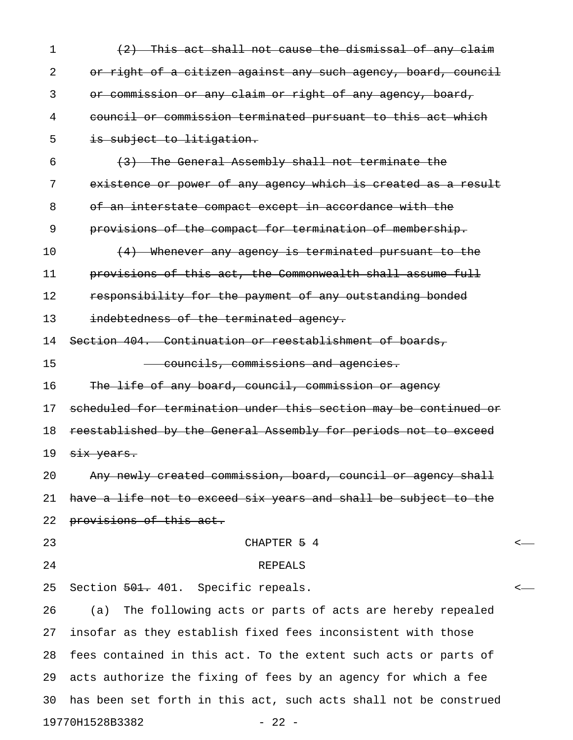| $\mathbf 1$ | (2) This act shall not cause the dismissal of any claim          |   |
|-------------|------------------------------------------------------------------|---|
| 2           | or right of a citizen against any such agency, board, council    |   |
| 3           | or commission or any claim or right of any agency, board,        |   |
| 4           | council or commission terminated pursuant to this act which      |   |
| 5           | is subject to litigation.                                        |   |
| 6           | (3) The General Assembly shall not terminate the                 |   |
| 7           | existence or power of any agency which is created as a result    |   |
| 8           | of an interstate compact except in accordance with the           |   |
| 9           | provisions of the compact for termination of membership.         |   |
| 10          | (4) Whenever any agency is terminated pursuant to the            |   |
| 11          | provisions of this act, the Commonwealth shall assume full       |   |
| 12          | responsibility for the payment of any outstanding bonded         |   |
| 13          | indebtedness of the terminated agency.                           |   |
| 14          | Section 404. Continuation or reestablishment of boards,          |   |
| 15          | councils, commissions and agencies.                              |   |
| 16          | The life of any board, council, commission or agency             |   |
| 17          | scheduled for termination under this section may be continued or |   |
| 18          | reestablished by the General Assembly for periods not to exceed  |   |
| 19          | six years.                                                       |   |
| 20          | Any newly created commission, board, council or agency shall     |   |
| 21          | have a life not to exceed six years and shall be subject to the  |   |
| 22          | provisions of this act.                                          |   |
| 23          | CHAPTER 5 4                                                      |   |
| 24          | <b>REPEALS</b>                                                   |   |
| 25          | Section 501. 401. Specific repeals.                              | < |
| 26          | (a) The following acts or parts of acts are hereby repealed      |   |
| 27          | insofar as they establish fixed fees inconsistent with those     |   |
| 28          | fees contained in this act. To the extent such acts or parts of  |   |
| 29          | acts authorize the fixing of fees by an agency for which a fee   |   |
| 30          | has been set forth in this act, such acts shall not be construed |   |
|             | 19770H1528B3382<br>$-22 -$                                       |   |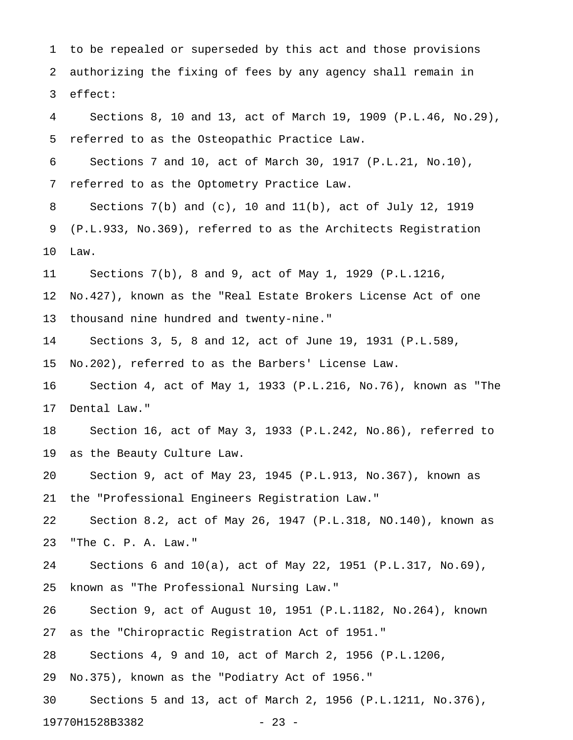1 to be repealed or superseded by this act and those provisions 2 authorizing the fixing of fees by any agency shall remain in 3 effect:

4 Sections 8, 10 and 13, act of March 19, 1909 (P.L.46, No.29), 5 referred to as the Osteopathic Practice Law.

6 Sections 7 and 10, act of March 30, 1917 (P.L.21, No.10), 7 referred to as the Optometry Practice Law.

8 Sections 7(b) and (c), 10 and 11(b), act of July 12, 1919 9 (P.L.933, No.369), referred to as the Architects Registration 10 Law.

11 Sections 7(b), 8 and 9, act of May 1, 1929 (P.L.1216,

12 No.427), known as the "Real Estate Brokers License Act of one 13 thousand nine hundred and twenty-nine."

14 Sections 3, 5, 8 and 12, act of June 19, 1931 (P.L.589,

15 No.202), referred to as the Barbers' License Law.

16 Section 4, act of May 1, 1933 (P.L.216, No.76), known as "The 17 Dental Law."

18 Section 16, act of May 3, 1933 (P.L.242, No.86), referred to 19 as the Beauty Culture Law.

20 Section 9, act of May 23, 1945 (P.L.913, No.367), known as 21 the "Professional Engineers Registration Law."

22 Section 8.2, act of May 26, 1947 (P.L.318, NO.140), known as 23 "The C. P. A. Law."

24 Sections 6 and 10(a), act of May 22, 1951 (P.L.317, No.69), 25 known as "The Professional Nursing Law."

26 Section 9, act of August 10, 1951 (P.L.1182, No.264), known 27 as the "Chiropractic Registration Act of 1951."

28 Sections 4, 9 and 10, act of March 2, 1956 (P.L.1206,

29 No.375), known as the "Podiatry Act of 1956."

30 Sections 5 and 13, act of March 2, 1956 (P.L.1211, No.376), 19770H1528B3382 - 23 -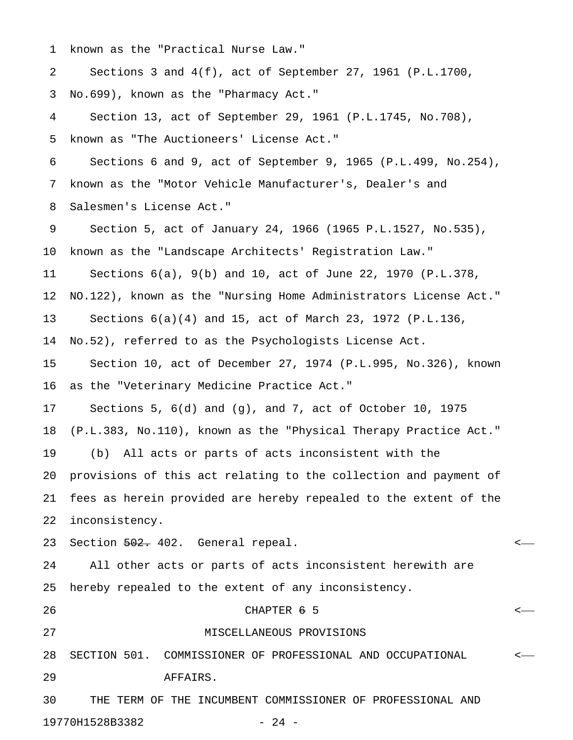1 known as the "Practical Nurse Law."

2 Sections 3 and 4(f), act of September 27, 1961 (P.L.1700,

3 No.699), known as the "Pharmacy Act."

4 Section 13, act of September 29, 1961 (P.L.1745, No.708), 5 known as "The Auctioneers' License Act."

6 Sections 6 and 9, act of September 9, 1965 (P.L.499, No.254), 7 known as the "Motor Vehicle Manufacturer's, Dealer's and 8 Salesmen's License Act."

9 Section 5, act of January 24, 1966 (1965 P.L.1527, No.535), 10 known as the "Landscape Architects' Registration Law." 11 Sections 6(a), 9(b) and 10, act of June 22, 1970 (P.L.378, 12 NO.122), known as the "Nursing Home Administrators License Act." 13 Sections 6(a)(4) and 15, act of March 23, 1972 (P.L.136, 14 No.52), referred to as the Psychologists License Act. 15 Section 10, act of December 27, 1974 (P.L.995, No.326), known

16 as the "Veterinary Medicine Practice Act."

17 Sections 5, 6(d) and (g), and 7, act of October 10, 1975

18 (P.L.383, No.110), known as the "Physical Therapy Practice Act."

19 (b) All acts or parts of acts inconsistent with the

20 provisions of this act relating to the collection and payment of 21 fees as herein provided are hereby repealed to the extent of the 22 inconsistency.

23 Section 502. 402. General repeal.

24 All other acts or parts of acts inconsistent herewith are 25 hereby repealed to the extent of any inconsistency.

## $26$  CHAPTER  $6$  5  $\sim$

27 MISCELLANEOUS PROVISIONS

28 SECTION 501. COMMISSIONER OF PROFESSIONAL AND OCCUPATIONAL <

29 AFFAIRS.

30 THE TERM OF THE INCUMBENT COMMISSIONER OF PROFESSIONAL AND 19770H1528B3382 - 24 -